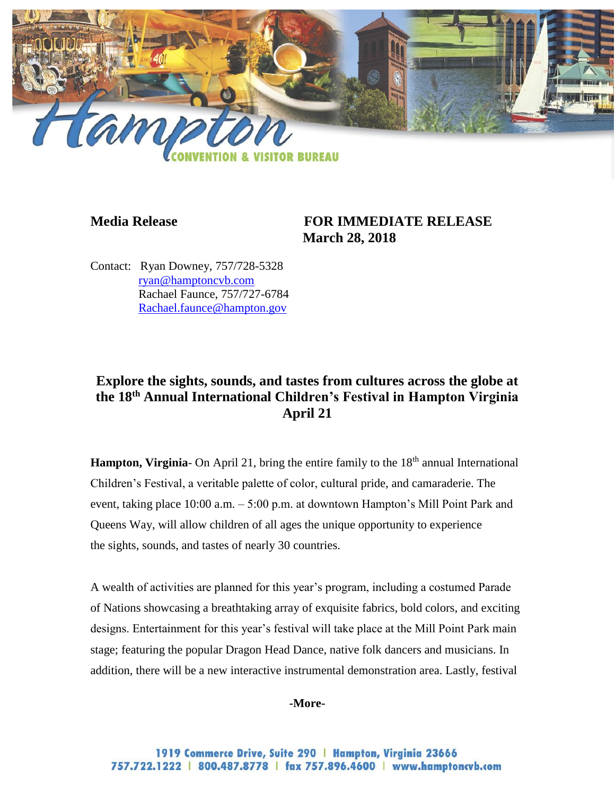

## **Media Release FOR IMMEDIATE RELEASE March 28, 2018**

Contact: Ryan Downey, 757/728-5328 [ryan@hamptoncvb.com](mailto:ryan@hamptoncvb.com) Rachael Faunce, 757/727-6784 [Rachael.faunce@hampton.gov](mailto:Rachael.faunce@hampton.gov)

# **Explore the sights, sounds, and tastes from cultures across the globe at the 18th Annual International Children's Festival in Hampton Virginia April 21**

**Hampton, Virginia-** On April 21, bring the entire family to the 18<sup>th</sup> annual International Children's Festival, a veritable palette of color, cultural pride, and camaraderie. The event, taking place 10:00 a.m. – 5:00 p.m. at downtown Hampton's Mill Point Park and Queens Way, will allow children of all ages the unique opportunity to experience the sights, sounds, and tastes of nearly 30 countries.

A wealth of activities are planned for this year's program, including a costumed Parade of Nations showcasing a breathtaking array of exquisite fabrics, bold colors, and exciting designs. Entertainment for this year's festival will take place at the Mill Point Park main stage; featuring the popular Dragon Head Dance, native folk dancers and musicians. In addition, there will be a new interactive instrumental demonstration area. Lastly, festival

#### **-More-**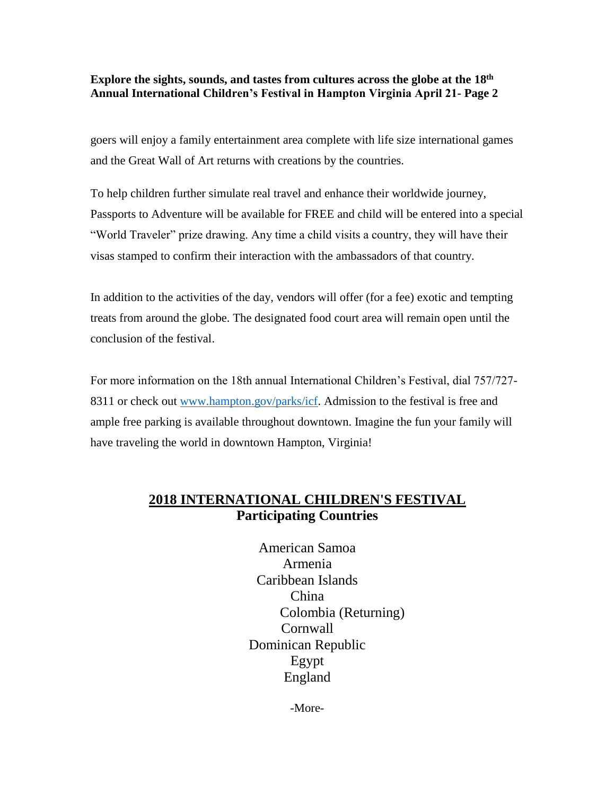### **Explore the sights, sounds, and tastes from cultures across the globe at the 18th Annual International Children's Festival in Hampton Virginia April 21- Page 2**

goers will enjoy a family entertainment area complete with life size international games and the Great Wall of Art returns with creations by the countries.

To help children further simulate real travel and enhance their worldwide journey, Passports to Adventure will be available for FREE and child will be entered into a special "World Traveler" prize drawing. Any time a child visits a country, they will have their visas stamped to confirm their interaction with the ambassadors of that country.

In addition to the activities of the day, vendors will offer (for a fee) exotic and tempting treats from around the globe. The designated food court area will remain open until the conclusion of the festival.

For more information on the 18th annual International Children's Festival, dial 757/727 8311 or check out [www.hampton.gov/parks/icf.](http://www.hampton.gov/parks/icf) Admission to the festival is free and ample free parking is available throughout downtown. Imagine the fun your family will have traveling the world in downtown Hampton, Virginia!

# **2018 INTERNATIONAL CHILDREN'S FESTIVAL Participating Countries**

American Samoa Armenia Caribbean Islands China Colombia (Returning) Cornwall Dominican Republic Egypt England

-More-